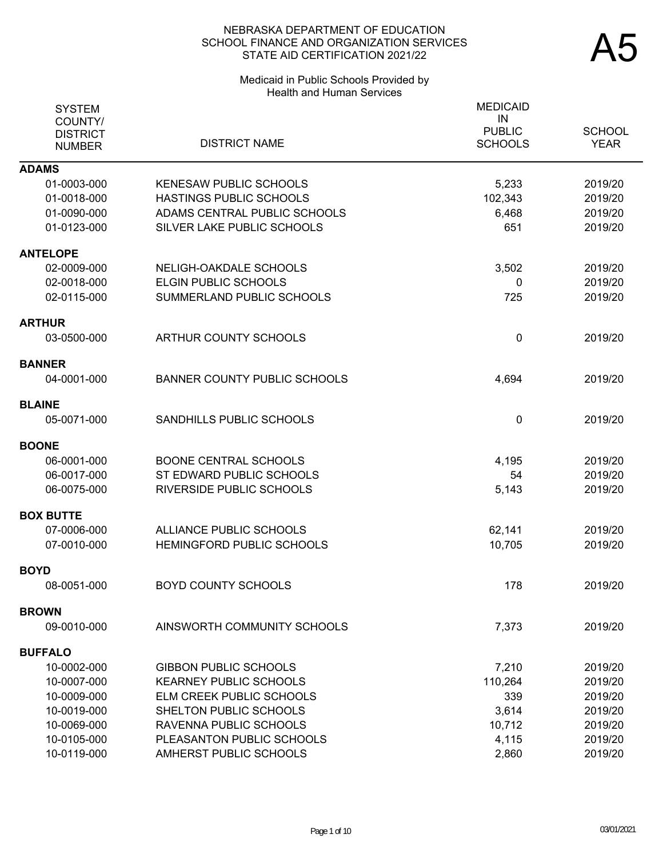## Medicaid in Public Schools Provided by Health and Human Services

| <b>SYSTEM</b><br>COUNTY/<br><b>DISTRICT</b> |                                     | <b>MEDICAID</b><br>IN<br><b>PUBLIC</b> | <b>SCHOOL</b> |
|---------------------------------------------|-------------------------------------|----------------------------------------|---------------|
| <b>NUMBER</b>                               | <b>DISTRICT NAME</b>                | <b>SCHOOLS</b>                         | <b>YEAR</b>   |
| <b>ADAMS</b>                                |                                     |                                        |               |
| 01-0003-000                                 | <b>KENESAW PUBLIC SCHOOLS</b>       | 5,233                                  | 2019/20       |
| 01-0018-000                                 | HASTINGS PUBLIC SCHOOLS             | 102,343                                | 2019/20       |
| 01-0090-000                                 | ADAMS CENTRAL PUBLIC SCHOOLS        | 6,468                                  | 2019/20       |
| 01-0123-000                                 | SILVER LAKE PUBLIC SCHOOLS          | 651                                    | 2019/20       |
| <b>ANTELOPE</b>                             |                                     |                                        |               |
| 02-0009-000                                 | NELIGH-OAKDALE SCHOOLS              | 3,502                                  | 2019/20       |
| 02-0018-000                                 | ELGIN PUBLIC SCHOOLS                | 0                                      | 2019/20       |
| 02-0115-000                                 | SUMMERLAND PUBLIC SCHOOLS           | 725                                    | 2019/20       |
| ARTHUR                                      |                                     |                                        |               |
| 03-0500-000                                 | ARTHUR COUNTY SCHOOLS               | $\mathbf{0}$                           | 2019/20       |
| <b>BANNER</b>                               |                                     |                                        |               |
| 04-0001-000                                 | <b>BANNER COUNTY PUBLIC SCHOOLS</b> | 4,694                                  | 2019/20       |
| <b>BLAINE</b>                               |                                     |                                        |               |
| 05-0071-000                                 | SANDHILLS PUBLIC SCHOOLS            | $\mathbf 0$                            | 2019/20       |
| <b>BOONE</b>                                |                                     |                                        |               |
| 06-0001-000                                 | <b>BOONE CENTRAL SCHOOLS</b>        | 4,195                                  | 2019/20       |
| 06-0017-000                                 | ST EDWARD PUBLIC SCHOOLS            | 54                                     | 2019/20       |
| 06-0075-000                                 | <b>RIVERSIDE PUBLIC SCHOOLS</b>     | 5,143                                  | 2019/20       |
| <b>BOX BUTTE</b>                            |                                     |                                        |               |
| 07-0006-000                                 | ALLIANCE PUBLIC SCHOOLS             | 62,141                                 | 2019/20       |
| 07-0010-000                                 | <b>HEMINGFORD PUBLIC SCHOOLS</b>    | 10,705                                 | 2019/20       |
| <b>BOYD</b>                                 |                                     |                                        |               |
| 08-0051-000                                 | <b>BOYD COUNTY SCHOOLS</b>          | 178                                    | 2019/20       |
| <b>BROWN</b>                                |                                     |                                        |               |
| 09-0010-000                                 | AINSWORTH COMMUNITY SCHOOLS         | 7,373                                  | 2019/20       |
| <b>BUFFALO</b>                              |                                     |                                        |               |
| 10-0002-000                                 | <b>GIBBON PUBLIC SCHOOLS</b>        | 7,210                                  | 2019/20       |
| 10-0007-000                                 | <b>KEARNEY PUBLIC SCHOOLS</b>       | 110,264                                | 2019/20       |
| 10-0009-000                                 | ELM CREEK PUBLIC SCHOOLS            | 339                                    | 2019/20       |
| 10-0019-000                                 | SHELTON PUBLIC SCHOOLS              | 3,614                                  | 2019/20       |
| 10-0069-000                                 | RAVENNA PUBLIC SCHOOLS              | 10,712                                 | 2019/20       |
| 10-0105-000                                 | PLEASANTON PUBLIC SCHOOLS           | 4,115                                  | 2019/20       |
| 10-0119-000                                 | AMHERST PUBLIC SCHOOLS              | 2,860                                  | 2019/20       |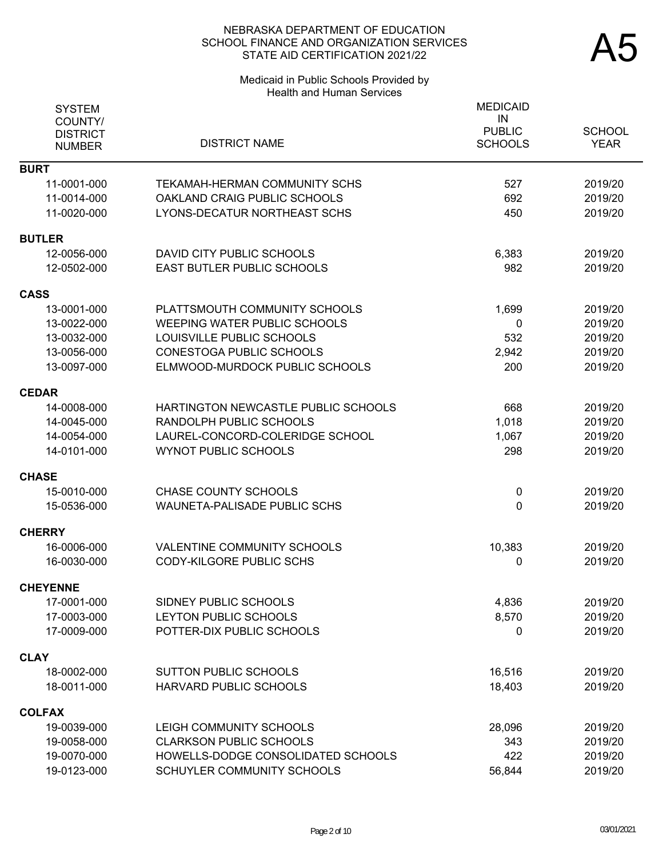#### Medicaid in Public Schools Provided by Health and Human Services

| <b>SYSTEM</b><br>COUNTY/<br><b>DISTRICT</b><br><b>NUMBER</b> | <b>DISTRICT NAME</b>                                         | <b>MEDICAID</b><br>IN<br><b>PUBLIC</b><br><b>SCHOOLS</b> | <b>SCHOOL</b><br><b>YEAR</b> |
|--------------------------------------------------------------|--------------------------------------------------------------|----------------------------------------------------------|------------------------------|
| <b>BURT</b>                                                  |                                                              |                                                          |                              |
| 11-0001-000                                                  | <b>TEKAMAH-HERMAN COMMUNITY SCHS</b>                         | 527                                                      | 2019/20                      |
| 11-0014-000<br>11-0020-000                                   | OAKLAND CRAIG PUBLIC SCHOOLS<br>LYONS-DECATUR NORTHEAST SCHS | 692<br>450                                               | 2019/20<br>2019/20           |
| <b>BUTLER</b>                                                |                                                              |                                                          |                              |
| 12-0056-000                                                  | DAVID CITY PUBLIC SCHOOLS                                    | 6,383                                                    | 2019/20                      |
| 12-0502-000                                                  | <b>EAST BUTLER PUBLIC SCHOOLS</b>                            | 982                                                      | 2019/20                      |
| <b>CASS</b>                                                  |                                                              |                                                          |                              |
| 13-0001-000                                                  | PLATTSMOUTH COMMUNITY SCHOOLS                                | 1,699                                                    | 2019/20                      |
| 13-0022-000                                                  | <b>WEEPING WATER PUBLIC SCHOOLS</b>                          | 0                                                        | 2019/20                      |
| 13-0032-000                                                  | LOUISVILLE PUBLIC SCHOOLS                                    | 532                                                      | 2019/20                      |
| 13-0056-000                                                  | <b>CONESTOGA PUBLIC SCHOOLS</b>                              | 2,942                                                    | 2019/20                      |
| 13-0097-000                                                  | ELMWOOD-MURDOCK PUBLIC SCHOOLS                               | 200                                                      | 2019/20                      |
| <b>CEDAR</b>                                                 |                                                              |                                                          |                              |
| 14-0008-000                                                  | HARTINGTON NEWCASTLE PUBLIC SCHOOLS                          | 668                                                      | 2019/20                      |
| 14-0045-000                                                  | RANDOLPH PUBLIC SCHOOLS                                      | 1,018                                                    | 2019/20                      |
| 14-0054-000                                                  | LAUREL-CONCORD-COLERIDGE SCHOOL                              | 1,067                                                    | 2019/20                      |
| 14-0101-000                                                  | <b>WYNOT PUBLIC SCHOOLS</b>                                  | 298                                                      | 2019/20                      |
| <b>CHASE</b>                                                 |                                                              |                                                          |                              |
| 15-0010-000                                                  | <b>CHASE COUNTY SCHOOLS</b>                                  | $\mathbf 0$                                              | 2019/20                      |
| 15-0536-000                                                  | <b>WAUNETA-PALISADE PUBLIC SCHS</b>                          | 0                                                        | 2019/20                      |
| <b>CHERRY</b>                                                |                                                              |                                                          |                              |
| 16-0006-000                                                  | VALENTINE COMMUNITY SCHOOLS                                  | 10,383                                                   | 2019/20                      |
| 16-0030-000                                                  | <b>CODY-KILGORE PUBLIC SCHS</b>                              | 0                                                        | 2019/20                      |
| <b>CHEYENNE</b>                                              |                                                              |                                                          |                              |
| 17-0001-000                                                  | SIDNEY PUBLIC SCHOOLS                                        | 4,836                                                    | 2019/20                      |
| 17-0003-000                                                  | LEYTON PUBLIC SCHOOLS                                        | 8,570                                                    | 2019/20                      |
| 17-0009-000                                                  | POTTER-DIX PUBLIC SCHOOLS                                    | 0                                                        | 2019/20                      |
| <b>CLAY</b>                                                  |                                                              |                                                          |                              |
| 18-0002-000                                                  | <b>SUTTON PUBLIC SCHOOLS</b>                                 | 16,516                                                   | 2019/20                      |
| 18-0011-000                                                  | HARVARD PUBLIC SCHOOLS                                       | 18,403                                                   | 2019/20                      |
| <b>COLFAX</b>                                                |                                                              |                                                          |                              |
| 19-0039-000                                                  | LEIGH COMMUNITY SCHOOLS                                      | 28,096                                                   | 2019/20                      |
| 19-0058-000                                                  | <b>CLARKSON PUBLIC SCHOOLS</b>                               | 343                                                      | 2019/20                      |
| 19-0070-000                                                  | HOWELLS-DODGE CONSOLIDATED SCHOOLS                           | 422                                                      | 2019/20                      |
| 19-0123-000                                                  | SCHUYLER COMMUNITY SCHOOLS                                   | 56,844                                                   | 2019/20                      |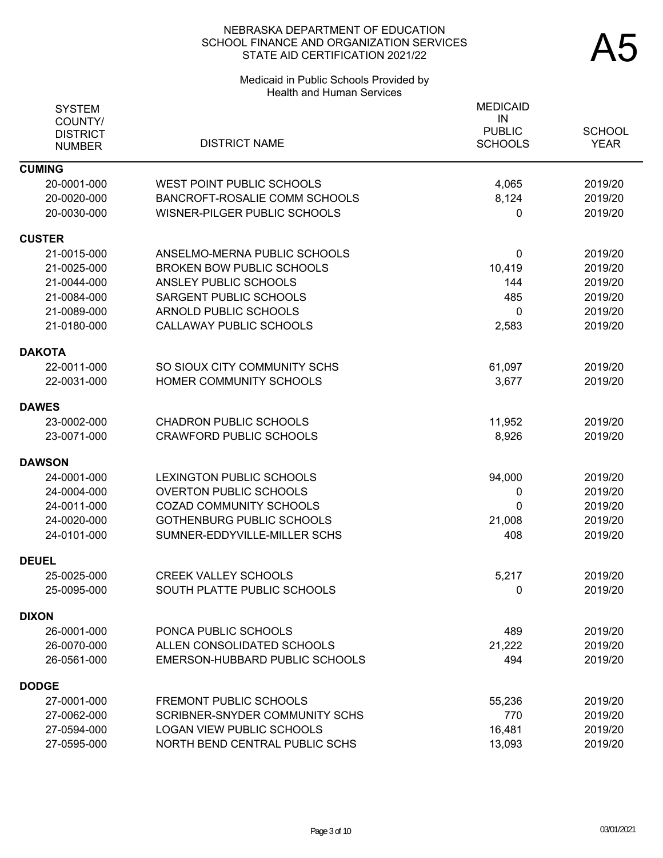# Medicaid in Public Schools Provided by Health and Human Services

| <b>SYSTEM</b><br>COUNTY/<br><b>DISTRICT</b><br><b>NUMBER</b> | <b>DISTRICT NAME</b>             | <b>MEDICAID</b><br>IN<br><b>PUBLIC</b><br><b>SCHOOLS</b> | <b>SCHOOL</b><br><b>YEAR</b> |
|--------------------------------------------------------------|----------------------------------|----------------------------------------------------------|------------------------------|
| <b>CUMING</b>                                                |                                  |                                                          |                              |
| 20-0001-000                                                  | <b>WEST POINT PUBLIC SCHOOLS</b> | 4,065                                                    | 2019/20                      |
| 20-0020-000                                                  | BANCROFT-ROSALIE COMM SCHOOLS    | 8,124                                                    | 2019/20                      |
| 20-0030-000                                                  | WISNER-PILGER PUBLIC SCHOOLS     | 0                                                        | 2019/20                      |
| <b>CUSTER</b>                                                |                                  |                                                          |                              |
| 21-0015-000                                                  | ANSELMO-MERNA PUBLIC SCHOOLS     | 0                                                        | 2019/20                      |
| 21-0025-000                                                  | <b>BROKEN BOW PUBLIC SCHOOLS</b> | 10,419                                                   | 2019/20                      |
| 21-0044-000                                                  | ANSLEY PUBLIC SCHOOLS            | 144                                                      | 2019/20                      |
| 21-0084-000                                                  | SARGENT PUBLIC SCHOOLS           | 485                                                      | 2019/20                      |
| 21-0089-000                                                  | ARNOLD PUBLIC SCHOOLS            | 0                                                        | 2019/20                      |
| 21-0180-000                                                  | <b>CALLAWAY PUBLIC SCHOOLS</b>   | 2,583                                                    | 2019/20                      |
| <b>DAKOTA</b>                                                |                                  |                                                          |                              |
| 22-0011-000                                                  | SO SIOUX CITY COMMUNITY SCHS     | 61,097                                                   | 2019/20                      |
| 22-0031-000                                                  | HOMER COMMUNITY SCHOOLS          | 3,677                                                    | 2019/20                      |
| <b>DAWES</b>                                                 |                                  |                                                          |                              |
| 23-0002-000                                                  | <b>CHADRON PUBLIC SCHOOLS</b>    | 11,952                                                   | 2019/20                      |
| 23-0071-000                                                  | <b>CRAWFORD PUBLIC SCHOOLS</b>   | 8,926                                                    | 2019/20                      |
| <b>DAWSON</b>                                                |                                  |                                                          |                              |
| 24-0001-000                                                  | LEXINGTON PUBLIC SCHOOLS         | 94,000                                                   | 2019/20                      |
| 24-0004-000                                                  | <b>OVERTON PUBLIC SCHOOLS</b>    | 0                                                        | 2019/20                      |
| 24-0011-000                                                  | <b>COZAD COMMUNITY SCHOOLS</b>   | 0                                                        | 2019/20                      |
| 24-0020-000                                                  | <b>GOTHENBURG PUBLIC SCHOOLS</b> | 21,008                                                   | 2019/20                      |
| 24-0101-000                                                  | SUMNER-EDDYVILLE-MILLER SCHS     | 408                                                      | 2019/20                      |
| <b>DEUEL</b>                                                 |                                  |                                                          |                              |
| 25-0025-000                                                  | <b>CREEK VALLEY SCHOOLS</b>      | 5,217                                                    | 2019/20                      |
| 25-0095-000                                                  | SOUTH PLATTE PUBLIC SCHOOLS      | $\overline{0}$                                           | 2019/20                      |
| <b>DIXON</b>                                                 |                                  |                                                          |                              |
| 26-0001-000                                                  | PONCA PUBLIC SCHOOLS             | 489                                                      | 2019/20                      |
| 26-0070-000                                                  | ALLEN CONSOLIDATED SCHOOLS       | 21,222                                                   | 2019/20                      |
| 26-0561-000                                                  | EMERSON-HUBBARD PUBLIC SCHOOLS   | 494                                                      | 2019/20                      |
| <b>DODGE</b>                                                 |                                  |                                                          |                              |
| 27-0001-000                                                  | <b>FREMONT PUBLIC SCHOOLS</b>    | 55,236                                                   | 2019/20                      |
| 27-0062-000                                                  | SCRIBNER-SNYDER COMMUNITY SCHS   | 770                                                      | 2019/20                      |
| 27-0594-000                                                  | <b>LOGAN VIEW PUBLIC SCHOOLS</b> | 16,481                                                   | 2019/20                      |
| 27-0595-000                                                  | NORTH BEND CENTRAL PUBLIC SCHS   | 13,093                                                   | 2019/20                      |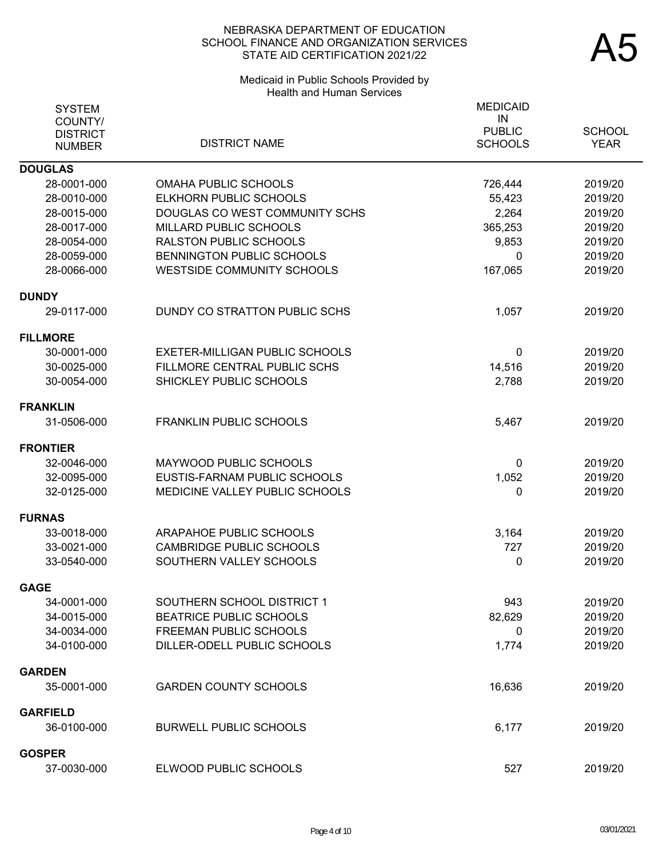# Medicaid in Public Schools Provided by Health and Human Services

| <b>SYSTEM</b><br>COUNTY/<br><b>DISTRICT</b><br><b>NUMBER</b> | <b>DISTRICT NAME</b>                  | <b>MEDICAID</b><br>IN<br><b>PUBLIC</b><br><b>SCHOOLS</b> | <b>SCHOOL</b><br><b>YEAR</b> |
|--------------------------------------------------------------|---------------------------------------|----------------------------------------------------------|------------------------------|
|                                                              |                                       |                                                          |                              |
| <b>DOUGLAS</b><br>28-0001-000                                | <b>OMAHA PUBLIC SCHOOLS</b>           | 726,444                                                  | 2019/20                      |
| 28-0010-000                                                  | ELKHORN PUBLIC SCHOOLS                | 55,423                                                   | 2019/20                      |
| 28-0015-000                                                  | DOUGLAS CO WEST COMMUNITY SCHS        | 2,264                                                    | 2019/20                      |
| 28-0017-000                                                  | MILLARD PUBLIC SCHOOLS                | 365,253                                                  | 2019/20                      |
| 28-0054-000                                                  | <b>RALSTON PUBLIC SCHOOLS</b>         | 9,853                                                    | 2019/20                      |
| 28-0059-000                                                  | <b>BENNINGTON PUBLIC SCHOOLS</b>      | 0                                                        | 2019/20                      |
| 28-0066-000                                                  | <b>WESTSIDE COMMUNITY SCHOOLS</b>     | 167,065                                                  | 2019/20                      |
| <b>DUNDY</b>                                                 |                                       |                                                          |                              |
| 29-0117-000                                                  | DUNDY CO STRATTON PUBLIC SCHS         | 1,057                                                    | 2019/20                      |
| <b>FILLMORE</b>                                              |                                       |                                                          |                              |
| 30-0001-000                                                  | <b>EXETER-MILLIGAN PUBLIC SCHOOLS</b> | 0                                                        | 2019/20                      |
| 30-0025-000                                                  | FILLMORE CENTRAL PUBLIC SCHS          | 14,516                                                   | 2019/20                      |
| 30-0054-000                                                  | SHICKLEY PUBLIC SCHOOLS               | 2,788                                                    | 2019/20                      |
| <b>FRANKLIN</b>                                              |                                       |                                                          |                              |
| 31-0506-000                                                  | <b>FRANKLIN PUBLIC SCHOOLS</b>        | 5,467                                                    | 2019/20                      |
| <b>FRONTIER</b>                                              |                                       |                                                          |                              |
| 32-0046-000                                                  | MAYWOOD PUBLIC SCHOOLS                | 0                                                        | 2019/20                      |
| 32-0095-000                                                  | EUSTIS-FARNAM PUBLIC SCHOOLS          | 1,052                                                    | 2019/20                      |
| 32-0125-000                                                  | MEDICINE VALLEY PUBLIC SCHOOLS        | 0                                                        | 2019/20                      |
| <b>FURNAS</b>                                                |                                       |                                                          |                              |
| 33-0018-000                                                  | ARAPAHOE PUBLIC SCHOOLS               | 3,164                                                    | 2019/20                      |
| 33-0021-000                                                  | <b>CAMBRIDGE PUBLIC SCHOOLS</b>       | 727                                                      | 2019/20                      |
| 33-0540-000                                                  | SOUTHERN VALLEY SCHOOLS               | 0                                                        | 2019/20                      |
| <b>GAGE</b>                                                  |                                       |                                                          |                              |
| 34-0001-000                                                  | SOUTHERN SCHOOL DISTRICT 1            | 943                                                      | 2019/20                      |
| 34-0015-000                                                  | <b>BEATRICE PUBLIC SCHOOLS</b>        | 82,629                                                   | 2019/20                      |
| 34-0034-000                                                  | FREEMAN PUBLIC SCHOOLS                | 0                                                        | 2019/20                      |
| 34-0100-000                                                  | DILLER-ODELL PUBLIC SCHOOLS           | 1,774                                                    | 2019/20                      |
| <b>GARDEN</b>                                                |                                       |                                                          |                              |
| 35-0001-000                                                  | <b>GARDEN COUNTY SCHOOLS</b>          | 16,636                                                   | 2019/20                      |
| <b>GARFIELD</b>                                              |                                       |                                                          |                              |
| 36-0100-000                                                  | <b>BURWELL PUBLIC SCHOOLS</b>         | 6,177                                                    | 2019/20                      |
| GOSPER                                                       |                                       |                                                          |                              |
| 37-0030-000                                                  | ELWOOD PUBLIC SCHOOLS                 | 527                                                      | 2019/20                      |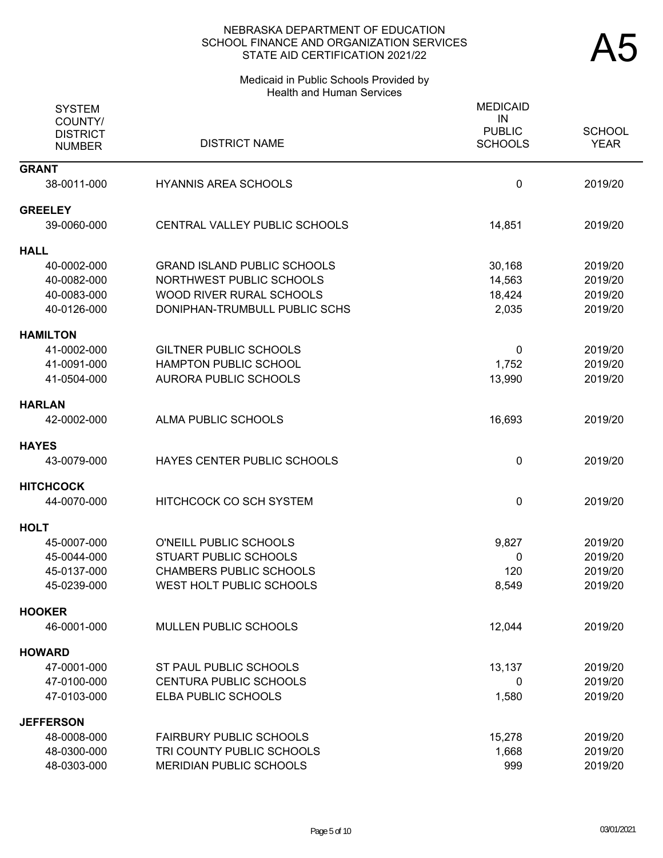#### Medicaid in Public Schools Provided by Health and Human Services

| <b>SYSTEM</b><br>COUNTY/<br><b>DISTRICT</b><br><b>NUMBER</b> | <b>DISTRICT NAME</b>               | <b>MEDICAID</b><br>IN<br><b>PUBLIC</b><br><b>SCHOOLS</b> | <b>SCHOOL</b><br><b>YEAR</b> |
|--------------------------------------------------------------|------------------------------------|----------------------------------------------------------|------------------------------|
| <b>GRANT</b>                                                 |                                    |                                                          |                              |
| 38-0011-000                                                  | <b>HYANNIS AREA SCHOOLS</b>        | 0                                                        | 2019/20                      |
| <b>GREELEY</b>                                               |                                    |                                                          |                              |
| 39-0060-000                                                  | CENTRAL VALLEY PUBLIC SCHOOLS      | 14,851                                                   | 2019/20                      |
| <b>HALL</b>                                                  |                                    |                                                          |                              |
| 40-0002-000                                                  | <b>GRAND ISLAND PUBLIC SCHOOLS</b> | 30,168                                                   | 2019/20                      |
| 40-0082-000                                                  | NORTHWEST PUBLIC SCHOOLS           | 14,563                                                   | 2019/20                      |
| 40-0083-000                                                  | WOOD RIVER RURAL SCHOOLS           | 18,424                                                   | 2019/20                      |
| 40-0126-000                                                  | DONIPHAN-TRUMBULL PUBLIC SCHS      | 2,035                                                    | 2019/20                      |
| <b>HAMILTON</b>                                              |                                    |                                                          |                              |
| 41-0002-000                                                  | <b>GILTNER PUBLIC SCHOOLS</b>      | 0                                                        | 2019/20                      |
| 41-0091-000                                                  | HAMPTON PUBLIC SCHOOL              | 1,752                                                    | 2019/20                      |
| 41-0504-000                                                  | <b>AURORA PUBLIC SCHOOLS</b>       | 13,990                                                   | 2019/20                      |
| <b>HARLAN</b>                                                |                                    |                                                          |                              |
| 42-0002-000                                                  | ALMA PUBLIC SCHOOLS                | 16,693                                                   | 2019/20                      |
| <b>HAYES</b>                                                 |                                    |                                                          |                              |
| 43-0079-000                                                  | HAYES CENTER PUBLIC SCHOOLS        | 0                                                        | 2019/20                      |
| <b>HITCHCOCK</b>                                             |                                    |                                                          |                              |
| 44-0070-000                                                  | HITCHCOCK CO SCH SYSTEM            | 0                                                        | 2019/20                      |
| <b>HOLT</b>                                                  |                                    |                                                          |                              |
| 45-0007-000                                                  | O'NEILL PUBLIC SCHOOLS             | 9,827                                                    | 2019/20                      |
| 45-0044-000                                                  | <b>STUART PUBLIC SCHOOLS</b>       | 0                                                        | 2019/20                      |
| 45-0137-000                                                  | <b>CHAMBERS PUBLIC SCHOOLS</b>     | 120                                                      | 2019/20                      |
| 45-0239-000                                                  | WEST HOLT PUBLIC SCHOOLS           | 8,549                                                    | 2019/20                      |
| <b>HOOKER</b>                                                |                                    |                                                          |                              |
| 46-0001-000                                                  | MULLEN PUBLIC SCHOOLS              | 12,044                                                   | 2019/20                      |
| <b>HOWARD</b>                                                |                                    |                                                          |                              |
| 47-0001-000                                                  | ST PAUL PUBLIC SCHOOLS             | 13,137                                                   | 2019/20                      |
| 47-0100-000                                                  | <b>CENTURA PUBLIC SCHOOLS</b>      | 0                                                        | 2019/20                      |
| 47-0103-000                                                  | ELBA PUBLIC SCHOOLS                | 1,580                                                    | 2019/20                      |
| <b>JEFFERSON</b>                                             |                                    |                                                          |                              |
| 48-0008-000                                                  | <b>FAIRBURY PUBLIC SCHOOLS</b>     | 15,278                                                   | 2019/20                      |
| 48-0300-000                                                  | TRI COUNTY PUBLIC SCHOOLS          | 1,668                                                    | 2019/20                      |
| 48-0303-000                                                  | MERIDIAN PUBLIC SCHOOLS            | 999                                                      | 2019/20                      |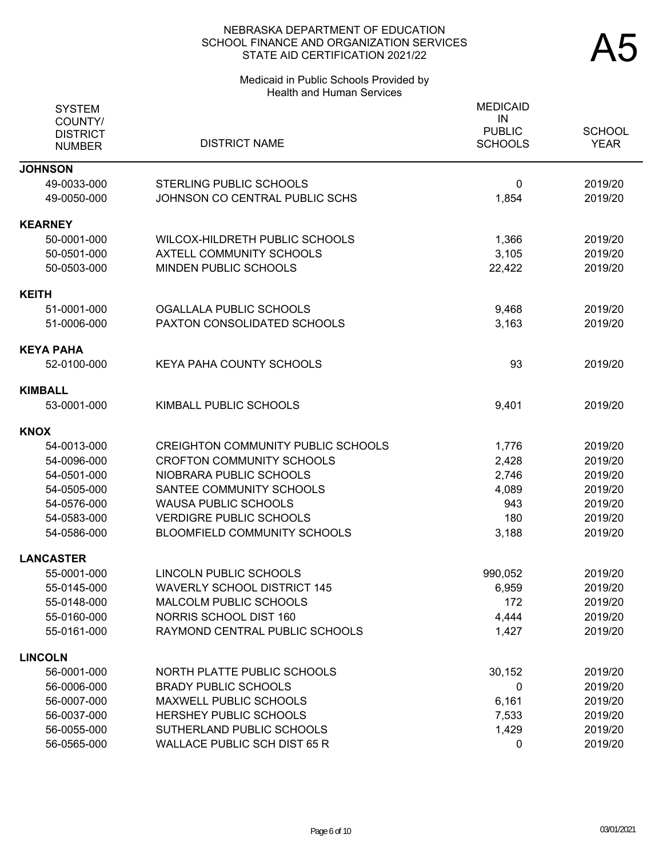# Medicaid in Public Schools Provided by Health and Human Services

| <b>SYSTEM</b><br>COUNTY/<br><b>DISTRICT</b><br><b>NUMBER</b> | <b>DISTRICT NAME</b>                      | <b>MEDICAID</b><br>IN<br><b>PUBLIC</b><br><b>SCHOOLS</b> | <b>SCHOOL</b><br><b>YEAR</b> |
|--------------------------------------------------------------|-------------------------------------------|----------------------------------------------------------|------------------------------|
| <b>JOHNSON</b>                                               |                                           |                                                          |                              |
| 49-0033-000                                                  | <b>STERLING PUBLIC SCHOOLS</b>            | 0                                                        | 2019/20                      |
| 49-0050-000                                                  | JOHNSON CO CENTRAL PUBLIC SCHS            | 1,854                                                    | 2019/20                      |
| <b>KEARNEY</b>                                               |                                           |                                                          |                              |
| 50-0001-000                                                  | WILCOX-HILDRETH PUBLIC SCHOOLS            | 1,366                                                    | 2019/20                      |
| 50-0501-000                                                  | <b>AXTELL COMMUNITY SCHOOLS</b>           | 3,105                                                    | 2019/20                      |
| 50-0503-000                                                  | MINDEN PUBLIC SCHOOLS                     | 22,422                                                   | 2019/20                      |
| KEITH                                                        |                                           |                                                          |                              |
| 51-0001-000                                                  | OGALLALA PUBLIC SCHOOLS                   | 9,468                                                    | 2019/20                      |
| 51-0006-000                                                  | PAXTON CONSOLIDATED SCHOOLS               | 3,163                                                    | 2019/20                      |
| KEYA PAHA                                                    |                                           |                                                          |                              |
| 52-0100-000                                                  | <b>KEYA PAHA COUNTY SCHOOLS</b>           | 93                                                       | 2019/20                      |
| <b>KIMBALL</b>                                               |                                           |                                                          |                              |
| 53-0001-000                                                  | KIMBALL PUBLIC SCHOOLS                    | 9,401                                                    | 2019/20                      |
| KNOX                                                         |                                           |                                                          |                              |
| 54-0013-000                                                  | <b>CREIGHTON COMMUNITY PUBLIC SCHOOLS</b> | 1,776                                                    | 2019/20                      |
| 54-0096-000                                                  | <b>CROFTON COMMUNITY SCHOOLS</b>          | 2,428                                                    | 2019/20                      |
| 54-0501-000                                                  | NIOBRARA PUBLIC SCHOOLS                   | 2,746                                                    | 2019/20                      |
| 54-0505-000                                                  | SANTEE COMMUNITY SCHOOLS                  | 4,089                                                    | 2019/20                      |
| 54-0576-000                                                  | <b>WAUSA PUBLIC SCHOOLS</b>               | 943                                                      | 2019/20                      |
| 54-0583-000                                                  | <b>VERDIGRE PUBLIC SCHOOLS</b>            | 180                                                      | 2019/20                      |
| 54-0586-000                                                  | BLOOMFIELD COMMUNITY SCHOOLS              | 3,188                                                    | 2019/20                      |
| <b>LANCASTER</b>                                             |                                           |                                                          |                              |
| 55-0001-000                                                  | LINCOLN PUBLIC SCHOOLS                    | 990,052                                                  | 2019/20                      |
| 55-0145-000                                                  | <b>WAVERLY SCHOOL DISTRICT 145</b>        | 6,959                                                    | 2019/20                      |
| 55-0148-000                                                  | <b>MALCOLM PUBLIC SCHOOLS</b>             | 172                                                      | 2019/20                      |
| 55-0160-000                                                  | NORRIS SCHOOL DIST 160                    | 4,444                                                    | 2019/20                      |
| 55-0161-000                                                  | RAYMOND CENTRAL PUBLIC SCHOOLS            | 1,427                                                    | 2019/20                      |
| <b>LINCOLN</b>                                               |                                           |                                                          |                              |
| 56-0001-000                                                  | NORTH PLATTE PUBLIC SCHOOLS               | 30,152                                                   | 2019/20                      |
| 56-0006-000                                                  | <b>BRADY PUBLIC SCHOOLS</b>               | 0                                                        | 2019/20                      |
| 56-0007-000                                                  | <b>MAXWELL PUBLIC SCHOOLS</b>             | 6,161                                                    | 2019/20                      |
| 56-0037-000                                                  | HERSHEY PUBLIC SCHOOLS                    | 7,533                                                    | 2019/20                      |
| 56-0055-000                                                  | SUTHERLAND PUBLIC SCHOOLS                 | 1,429                                                    | 2019/20                      |
| 56-0565-000                                                  | <b>WALLACE PUBLIC SCH DIST 65 R</b>       | 0                                                        | 2019/20                      |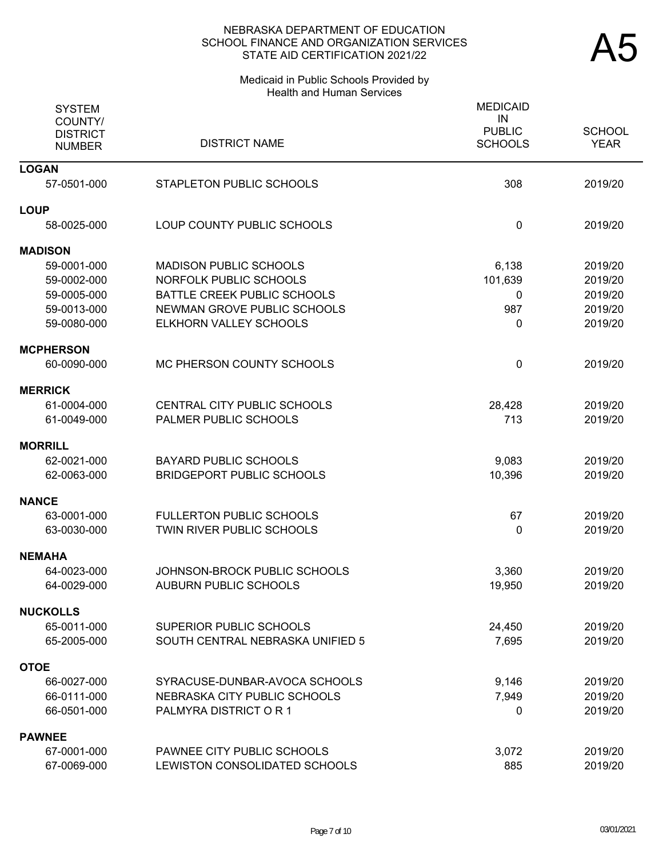#### Medicaid in Public Schools Provided by Health and Human Services

| <b>SYSTEM</b><br>COUNTY/<br><b>DISTRICT</b> | <b>DISTRICT NAME</b>               | <b>MEDICAID</b><br>IN<br><b>PUBLIC</b><br><b>SCHOOLS</b> | <b>SCHOOL</b><br><b>YEAR</b> |
|---------------------------------------------|------------------------------------|----------------------------------------------------------|------------------------------|
| <b>NUMBER</b>                               |                                    |                                                          |                              |
| <b>LOGAN</b>                                |                                    |                                                          |                              |
| 57-0501-000                                 | STAPLETON PUBLIC SCHOOLS           | 308                                                      | 2019/20                      |
| <b>LOUP</b>                                 |                                    |                                                          |                              |
| 58-0025-000                                 | LOUP COUNTY PUBLIC SCHOOLS         | $\mathbf 0$                                              | 2019/20                      |
| <b>MADISON</b>                              |                                    |                                                          |                              |
| 59-0001-000                                 | <b>MADISON PUBLIC SCHOOLS</b>      | 6,138                                                    | 2019/20                      |
| 59-0002-000                                 | NORFOLK PUBLIC SCHOOLS             | 101,639                                                  | 2019/20                      |
| 59-0005-000                                 | BATTLE CREEK PUBLIC SCHOOLS        | $\mathbf 0$                                              | 2019/20                      |
| 59-0013-000                                 | NEWMAN GROVE PUBLIC SCHOOLS        | 987                                                      | 2019/20                      |
| 59-0080-000                                 | ELKHORN VALLEY SCHOOLS             | 0                                                        | 2019/20                      |
| <b>MCPHERSON</b>                            |                                    |                                                          |                              |
| 60-0090-000                                 | MC PHERSON COUNTY SCHOOLS          | 0                                                        | 2019/20                      |
| <b>MERRICK</b>                              |                                    |                                                          |                              |
| 61-0004-000                                 | <b>CENTRAL CITY PUBLIC SCHOOLS</b> | 28,428                                                   | 2019/20                      |
| 61-0049-000                                 | PALMER PUBLIC SCHOOLS              | 713                                                      | 2019/20                      |
| <b>MORRILL</b>                              |                                    |                                                          |                              |
| 62-0021-000                                 | <b>BAYARD PUBLIC SCHOOLS</b>       | 9,083                                                    | 2019/20                      |
| 62-0063-000                                 | <b>BRIDGEPORT PUBLIC SCHOOLS</b>   | 10,396                                                   | 2019/20                      |
| <b>NANCE</b>                                |                                    |                                                          |                              |
| 63-0001-000                                 | <b>FULLERTON PUBLIC SCHOOLS</b>    | 67                                                       | 2019/20                      |
| 63-0030-000                                 | TWIN RIVER PUBLIC SCHOOLS          | $\mathbf{0}$                                             | 2019/20                      |
| <b>NEMAHA</b>                               |                                    |                                                          |                              |
| 64-0023-000                                 | JOHNSON-BROCK PUBLIC SCHOOLS       | 3,360                                                    | 2019/20                      |
| 64-0029-000                                 | AUBURN PUBLIC SCHOOLS              | 19,950                                                   | 2019/20                      |
| <b>NUCKOLLS</b>                             |                                    |                                                          |                              |
| 65-0011-000                                 | <b>SUPERIOR PUBLIC SCHOOLS</b>     | 24,450                                                   | 2019/20                      |
| 65-2005-000                                 | SOUTH CENTRAL NEBRASKA UNIFIED 5   | 7,695                                                    | 2019/20                      |
| <b>OTOE</b>                                 |                                    |                                                          |                              |
| 66-0027-000                                 | SYRACUSE-DUNBAR-AVOCA SCHOOLS      | 9,146                                                    | 2019/20                      |
| 66-0111-000                                 | NEBRASKA CITY PUBLIC SCHOOLS       | 7,949                                                    | 2019/20                      |
| 66-0501-000                                 | PALMYRA DISTRICT OR 1              | $\mathbf{0}$                                             | 2019/20                      |
| <b>PAWNEE</b>                               |                                    |                                                          |                              |
| 67-0001-000                                 | PAWNEE CITY PUBLIC SCHOOLS         | 3,072                                                    | 2019/20                      |
| 67-0069-000                                 | LEWISTON CONSOLIDATED SCHOOLS      | 885                                                      | 2019/20                      |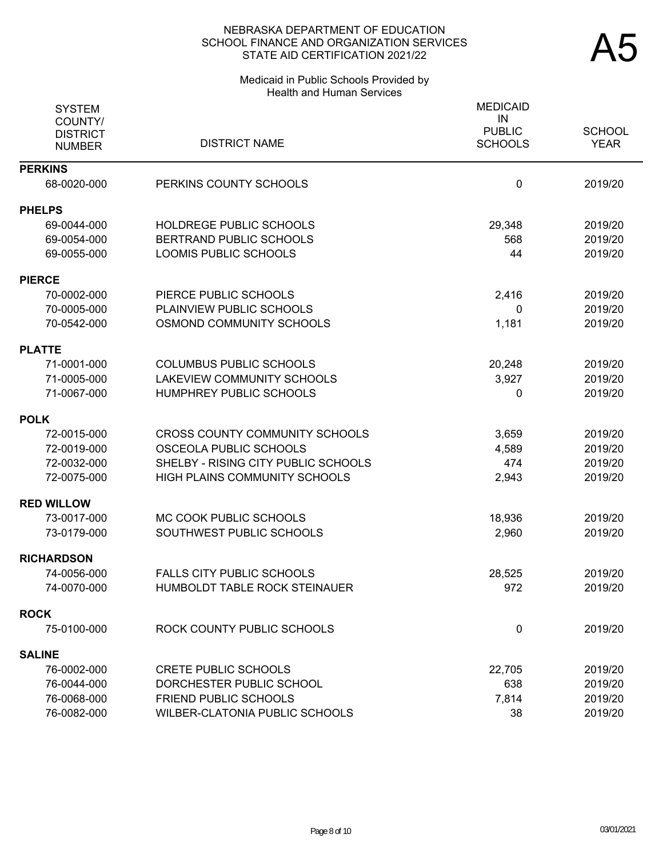# Medicaid in Public Schools Provided by Health and Human Services

| <b>SYSTEM</b><br>COUNTY/<br><b>DISTRICT</b> | <b>DISTRICT NAME</b>                  | <b>MEDICAID</b><br>IN<br><b>PUBLIC</b><br><b>SCHOOLS</b> | <b>SCHOOL</b><br><b>YEAR</b> |
|---------------------------------------------|---------------------------------------|----------------------------------------------------------|------------------------------|
| <b>NUMBER</b>                               |                                       |                                                          |                              |
| <b>PERKINS</b>                              |                                       |                                                          |                              |
| 68-0020-000                                 | PERKINS COUNTY SCHOOLS                | 0                                                        | 2019/20                      |
| <b>PHELPS</b>                               |                                       |                                                          |                              |
| 69-0044-000                                 | HOLDREGE PUBLIC SCHOOLS               | 29,348                                                   | 2019/20                      |
| 69-0054-000                                 | <b>BERTRAND PUBLIC SCHOOLS</b>        | 568                                                      | 2019/20                      |
| 69-0055-000                                 | <b>LOOMIS PUBLIC SCHOOLS</b>          | 44                                                       | 2019/20                      |
| <b>PIERCE</b>                               |                                       |                                                          |                              |
| 70-0002-000                                 | PIERCE PUBLIC SCHOOLS                 | 2,416                                                    | 2019/20                      |
| 70-0005-000                                 | PLAINVIEW PUBLIC SCHOOLS              | 0                                                        | 2019/20                      |
| 70-0542-000                                 | OSMOND COMMUNITY SCHOOLS              | 1,181                                                    | 2019/20                      |
| <b>PLATTE</b>                               |                                       |                                                          |                              |
| 71-0001-000                                 | <b>COLUMBUS PUBLIC SCHOOLS</b>        | 20,248                                                   | 2019/20                      |
| 71-0005-000                                 | LAKEVIEW COMMUNITY SCHOOLS            | 3,927                                                    | 2019/20                      |
| 71-0067-000                                 | HUMPHREY PUBLIC SCHOOLS               | $\Omega$                                                 | 2019/20                      |
| <b>POLK</b>                                 |                                       |                                                          |                              |
| 72-0015-000                                 | <b>CROSS COUNTY COMMUNITY SCHOOLS</b> | 3,659                                                    | 2019/20                      |
| 72-0019-000                                 | OSCEOLA PUBLIC SCHOOLS                | 4,589                                                    | 2019/20                      |
| 72-0032-000                                 | SHELBY - RISING CITY PUBLIC SCHOOLS   | 474                                                      | 2019/20                      |
| 72-0075-000                                 | HIGH PLAINS COMMUNITY SCHOOLS         | 2,943                                                    | 2019/20                      |
| <b>RED WILLOW</b>                           |                                       |                                                          |                              |
| 73-0017-000                                 | MC COOK PUBLIC SCHOOLS                | 18,936                                                   | 2019/20                      |
| 73-0179-000                                 | SOUTHWEST PUBLIC SCHOOLS              | 2,960                                                    | 2019/20                      |
| <b>RICHARDSON</b>                           |                                       |                                                          |                              |
| 74-0056-000                                 | <b>FALLS CITY PUBLIC SCHOOLS</b>      | 28,525                                                   | 2019/20                      |
| 74-0070-000                                 | HUMBOLDT TABLE ROCK STEINAUER         | 972                                                      | 2019/20                      |
| <b>ROCK</b>                                 |                                       |                                                          |                              |
| 75-0100-000                                 | ROCK COUNTY PUBLIC SCHOOLS            | $\mathbf 0$                                              | 2019/20                      |
| <b>SALINE</b>                               |                                       |                                                          |                              |
| 76-0002-000                                 | <b>CRETE PUBLIC SCHOOLS</b>           | 22,705                                                   | 2019/20                      |
| 76-0044-000                                 | DORCHESTER PUBLIC SCHOOL              | 638                                                      | 2019/20                      |
| 76-0068-000                                 | FRIEND PUBLIC SCHOOLS                 | 7,814                                                    | 2019/20                      |
| 76-0082-000                                 | WILBER-CLATONIA PUBLIC SCHOOLS        | 38                                                       | 2019/20                      |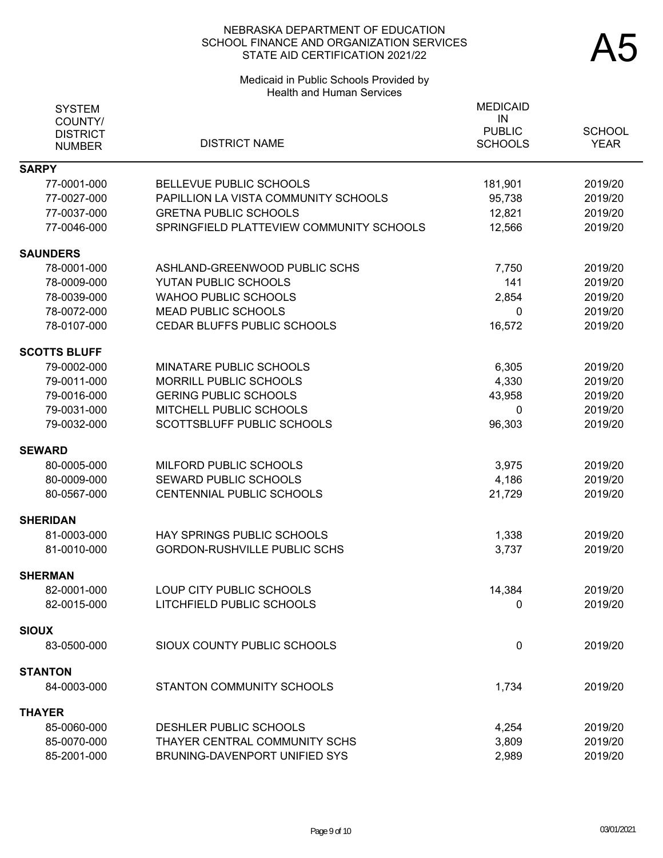# Medicaid in Public Schools Provided by Health and Human Services

| <b>SYSTEM</b><br>COUNTY/<br><b>DISTRICT</b><br><b>NUMBER</b> | <b>DISTRICT NAME</b>                     | <b>MEDICAID</b><br>IN<br><b>PUBLIC</b><br><b>SCHOOLS</b> | <b>SCHOOL</b><br><b>YEAR</b> |
|--------------------------------------------------------------|------------------------------------------|----------------------------------------------------------|------------------------------|
| <b>SARPY</b>                                                 |                                          |                                                          |                              |
| 77-0001-000                                                  | BELLEVUE PUBLIC SCHOOLS                  | 181,901                                                  | 2019/20                      |
| 77-0027-000                                                  | PAPILLION LA VISTA COMMUNITY SCHOOLS     | 95,738                                                   | 2019/20                      |
| 77-0037-000                                                  | <b>GRETNA PUBLIC SCHOOLS</b>             | 12,821                                                   | 2019/20                      |
| 77-0046-000                                                  | SPRINGFIELD PLATTEVIEW COMMUNITY SCHOOLS | 12,566                                                   | 2019/20                      |
| <b>SAUNDERS</b>                                              |                                          |                                                          |                              |
| 78-0001-000                                                  | ASHLAND-GREENWOOD PUBLIC SCHS            | 7,750                                                    | 2019/20                      |
| 78-0009-000                                                  | YUTAN PUBLIC SCHOOLS                     | 141                                                      | 2019/20                      |
| 78-0039-000                                                  | <b>WAHOO PUBLIC SCHOOLS</b>              | 2,854                                                    | 2019/20                      |
| 78-0072-000                                                  | MEAD PUBLIC SCHOOLS                      | 0                                                        | 2019/20                      |
| 78-0107-000                                                  | CEDAR BLUFFS PUBLIC SCHOOLS              | 16,572                                                   | 2019/20                      |
| <b>SCOTTS BLUFF</b>                                          |                                          |                                                          |                              |
| 79-0002-000                                                  | MINATARE PUBLIC SCHOOLS                  | 6,305                                                    | 2019/20                      |
| 79-0011-000                                                  | MORRILL PUBLIC SCHOOLS                   | 4,330                                                    | 2019/20                      |
| 79-0016-000                                                  | <b>GERING PUBLIC SCHOOLS</b>             | 43,958                                                   | 2019/20                      |
| 79-0031-000                                                  | MITCHELL PUBLIC SCHOOLS                  | 0                                                        | 2019/20                      |
| 79-0032-000                                                  | SCOTTSBLUFF PUBLIC SCHOOLS               | 96,303                                                   | 2019/20                      |
| <b>SEWARD</b>                                                |                                          |                                                          |                              |
| 80-0005-000                                                  | MILFORD PUBLIC SCHOOLS                   | 3,975                                                    | 2019/20                      |
| 80-0009-000                                                  | <b>SEWARD PUBLIC SCHOOLS</b>             | 4,186                                                    | 2019/20                      |
| 80-0567-000                                                  | CENTENNIAL PUBLIC SCHOOLS                | 21,729                                                   | 2019/20                      |
| <b>SHERIDAN</b>                                              |                                          |                                                          |                              |
| 81-0003-000                                                  | HAY SPRINGS PUBLIC SCHOOLS               | 1,338                                                    | 2019/20                      |
| 81-0010-000                                                  | <b>GORDON-RUSHVILLE PUBLIC SCHS</b>      | 3,737                                                    | 2019/20                      |
|                                                              |                                          |                                                          |                              |
| <b>SHERMAN</b>                                               |                                          |                                                          |                              |
| 82-0001-000                                                  | LOUP CITY PUBLIC SCHOOLS                 | 14,384                                                   | 2019/20                      |
| 82-0015-000                                                  | LITCHFIELD PUBLIC SCHOOLS                | 0                                                        | 2019/20                      |
| SIOUX                                                        |                                          |                                                          |                              |
| 83-0500-000                                                  | SIOUX COUNTY PUBLIC SCHOOLS              | $\mathbf 0$                                              | 2019/20                      |
| <b>STANTON</b>                                               |                                          |                                                          |                              |
| 84-0003-000                                                  | STANTON COMMUNITY SCHOOLS                | 1,734                                                    | 2019/20                      |
| THAYER                                                       |                                          |                                                          |                              |
| 85-0060-000                                                  | DESHLER PUBLIC SCHOOLS                   | 4,254                                                    | 2019/20                      |
| 85-0070-000                                                  | THAYER CENTRAL COMMUNITY SCHS            | 3,809                                                    | 2019/20                      |
| 85-2001-000                                                  | BRUNING-DAVENPORT UNIFIED SYS            | 2,989                                                    | 2019/20                      |
|                                                              |                                          |                                                          |                              |